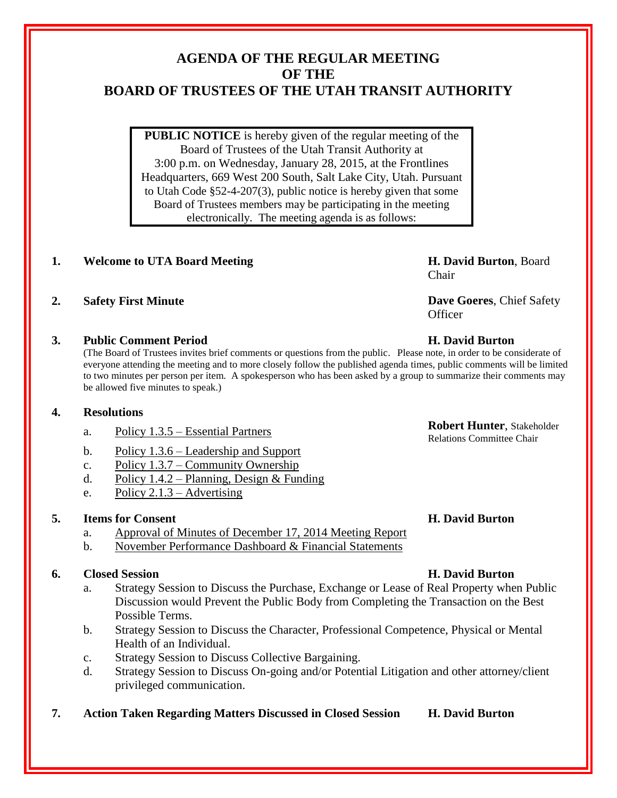# **AGENDA OF THE REGULAR MEETING OF THE BOARD OF TRUSTEES OF THE UTAH TRANSIT AUTHORITY**

**PUBLIC NOTICE** is hereby given of the regular meeting of the Board of Trustees of the Utah Transit Authority at 3:00 p.m. on Wednesday, January 28, 2015, at the Frontlines Headquarters, 669 West 200 South, Salt Lake City, Utah. Pursuant to Utah Code §52-4-207(3), public notice is hereby given that some Board of Trustees members may be participating in the meeting electronically. The meeting agenda is as follows:

# **1. Welcome to UTA Board Meeting H. David Burton**, Board

## **3. Public Comment Period H. David Burton**

(The Board of Trustees invites brief comments or questions from the public. Please note, in order to be considerate of everyone attending the meeting and to more closely follow the published agenda times, public comments will be limited to two minutes per person per item. A spokesperson who has been asked by a group to summarize their comments may be allowed five minutes to speak.)

### **4. Resolutions**

- a. Policy 1.3.5 Essential Partners **Robert Hunter**, Stakeholder
- b. Policy 1.3.6 Leadership and Support
- c. Policy 1.3.7 Community Ownership
- d. Policy 1.4.2 Planning, Design & Funding
- e. Policy 2.1.3 Advertising

## **5. Items for Consent H. David Burton**

- a. Approval of Minutes of December 17, 2014 Meeting Report
- b. November Performance Dashboard & Financial Statements

## **6. Closed Session H. David Burton**

- a. Strategy Session to Discuss the Purchase, Exchange or Lease of Real Property when Public Discussion would Prevent the Public Body from Completing the Transaction on the Best Possible Terms.
- b. Strategy Session to Discuss the Character, Professional Competence, Physical or Mental Health of an Individual.
- c. Strategy Session to Discuss Collective Bargaining.
- d. Strategy Session to Discuss On-going and/or Potential Litigation and other attorney/client privileged communication.
- **7. Action Taken Regarding Matters Discussed in Closed Session H. David Burton**

Chair

**2. Safety First Minute Dave Goeres**, Chief Safety **Officer** 

Relations Committee Chair